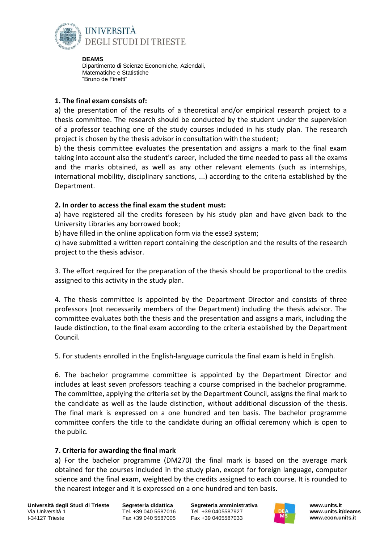

**DEAMS** Dipartimento di Scienze Economiche, Aziendali, Matematiche e Statistiche "Bruno de Finetti"

## **1. The final exam consists of:**

a) the presentation of the results of a theoretical and/or empirical research project to a thesis committee. The research should be conducted by the student under the supervision of a professor teaching one of the study courses included in his study plan. The research project is chosen by the thesis advisor in consultation with the student;

b) the thesis committee evaluates the presentation and assigns a mark to the final exam taking into account also the student's career, included the time needed to pass all the exams and the marks obtained, as well as any other relevant elements (such as internships, international mobility, disciplinary sanctions, ...) according to the criteria established by the Department.

## **2. In order to access the final exam the student must:**

a) have registered all the credits foreseen by his study plan and have given back to the University Libraries any borrowed book;

b) have filled in the online application form via the esse3 system;

c) have submitted a written report containing the description and the results of the research project to the thesis advisor.

3. The effort required for the preparation of the thesis should be proportional to the credits assigned to this activity in the study plan.

4. The thesis committee is appointed by the Department Director and consists of three professors (not necessarily members of the Department) including the thesis advisor. The committee evaluates both the thesis and the presentation and assigns a mark, including the laude distinction, to the final exam according to the criteria established by the Department Council.

5. For students enrolled in the English-language curricula the final exam is held in English.

6. The bachelor programme committee is appointed by the Department Director and includes at least seven professors teaching a course comprised in the bachelor programme. The committee, applying the criteria set by the Department Council, assigns the final mark to the candidate as well as the laude distinction, without additional discussion of the thesis. The final mark is expressed on a one hundred and ten basis. The bachelor programme committee confers the title to the candidate during an official ceremony which is open to the public.

## **7. Criteria for awarding the final mark**

a) For the bachelor programme (DM270) the final mark is based on the average mark obtained for the courses included in the study plan, except for foreign language, computer science and the final exam, weighted by the credits assigned to each course. It is rounded to the nearest integer and it is expressed on a one hundred and ten basis.

**Università degli Studi di Trieste** Via Università 1 I-34127 Trieste

**Segreteria didattica** Tel. +39 040 5587016 Fax +39 040 5587005

**Segreteria amministrativa** Tel. +39 0405587927 Fax +39 0405587033



**www.units.it www.units.it/deams www.econ.units.it**